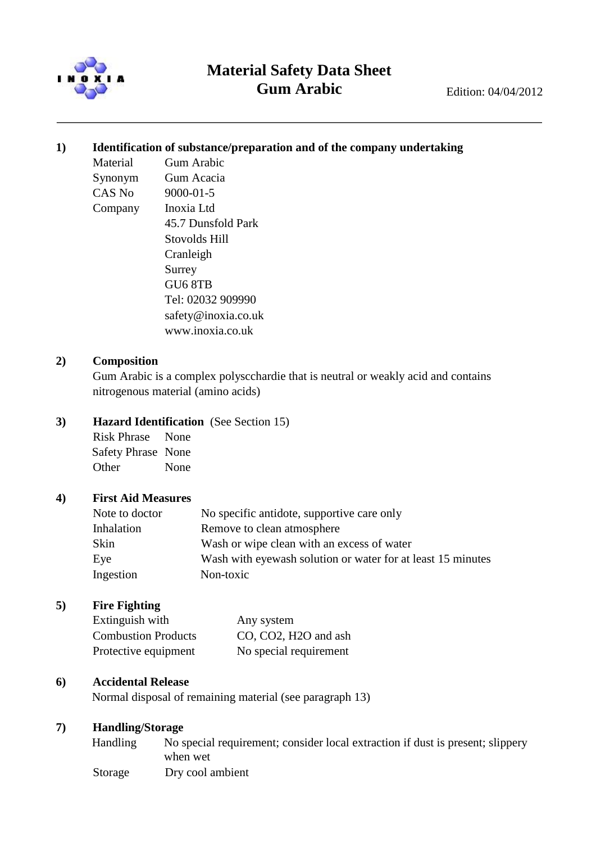

# **Material Safety Data Sheet Gum Arabic** Edition: 04/04/2012

### **1) Identification of substance/preparation and of the company undertaking**

Material Gum Arabic Synonym Gum Acacia CAS No 9000-01-5 Company Inoxia Ltd 45.7 Dunsfold Park Stovolds Hill Cranleigh Surrey GU6 8TB Tel: 02032 909990 safety@inoxia.co.uk

www.inoxia.co.uk

### **2) Composition**

Gum Arabic is a complex polyscchardie that is neutral or weakly acid and contains nitrogenous material (amino acids)

#### **3) Hazard Identification** (See Section 15)

Risk Phrase None Safety Phrase None Other None

#### **4) First Aid Measures**

| Note to doctor | No specific antidote, supportive care only                  |
|----------------|-------------------------------------------------------------|
| Inhalation     | Remove to clean atmosphere                                  |
| Skin           | Wash or wipe clean with an excess of water                  |
| Eye            | Wash with eyewash solution or water for at least 15 minutes |
| Ingestion      | Non-toxic                                                   |

# **5) Fire Fighting**

| Extinguish with            | Any system                        |
|----------------------------|-----------------------------------|
| <b>Combustion Products</b> | CO, CO2, H <sub>2</sub> O and ash |
| Protective equipment       | No special requirement            |

#### **6) Accidental Release**

Normal disposal of remaining material (see paragraph 13)

# **7) Handling/Storage**

| Handling | No special requirement; consider local extraction if dust is present; slippery |
|----------|--------------------------------------------------------------------------------|
|          | when wet                                                                       |
| Storage  | Dry cool ambient                                                               |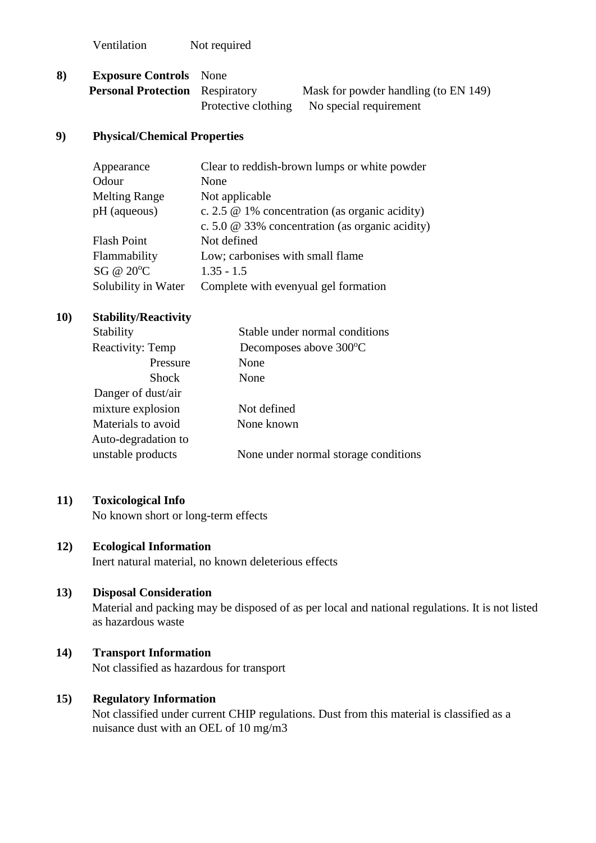Ventilation Not required

| 8) | <b>Exposure Controls</b> None          |  |                                            |
|----|----------------------------------------|--|--------------------------------------------|
|    | <b>Personal Protection</b> Respiratory |  | Mask for powder handling (to EN 149)       |
|    |                                        |  | Protective clothing No special requirement |

#### **9) Physical/Chemical Properties**

| Appearance           | Clear to reddish-brown lumps or white powder           |
|----------------------|--------------------------------------------------------|
| Odour                | None                                                   |
| <b>Melting Range</b> | Not applicable                                         |
| $pH$ (aqueous)       | c. 2.5 $\omega$ 1% concentration (as organic acidity)  |
|                      | c. 5.0 $\omega$ 33% concentration (as organic acidity) |
| <b>Flash Point</b>   | Not defined                                            |
| Flammability         | Low; carbonises with small flame                       |
| SG @ 20°C            | $1.35 - 1.5$                                           |
| Solubility in Water  | Complete with evenyual gel formation                   |

# **10) Stability/Reactivity**

| Stability           | Stable under normal conditions       |  |
|---------------------|--------------------------------------|--|
| Reactivity: Temp    | Decomposes above 300°C               |  |
| Pressure            | None                                 |  |
| <b>Shock</b>        | None                                 |  |
| Danger of dust/air  |                                      |  |
| mixture explosion   | Not defined                          |  |
| Materials to avoid  | None known                           |  |
| Auto-degradation to |                                      |  |
| unstable products   | None under normal storage conditions |  |
|                     |                                      |  |

#### **11) Toxicological Info**

No known short or long-term effects

# **12) Ecological Information**

Inert natural material, no known deleterious effects

#### **13) Disposal Consideration**

Material and packing may be disposed of as per local and national regulations. It is not listed as hazardous waste

# **14) Transport Information**

Not classified as hazardous for transport

# **15) Regulatory Information**

Not classified under current CHIP regulations. Dust from this material is classified as a nuisance dust with an OEL of 10 mg/m3